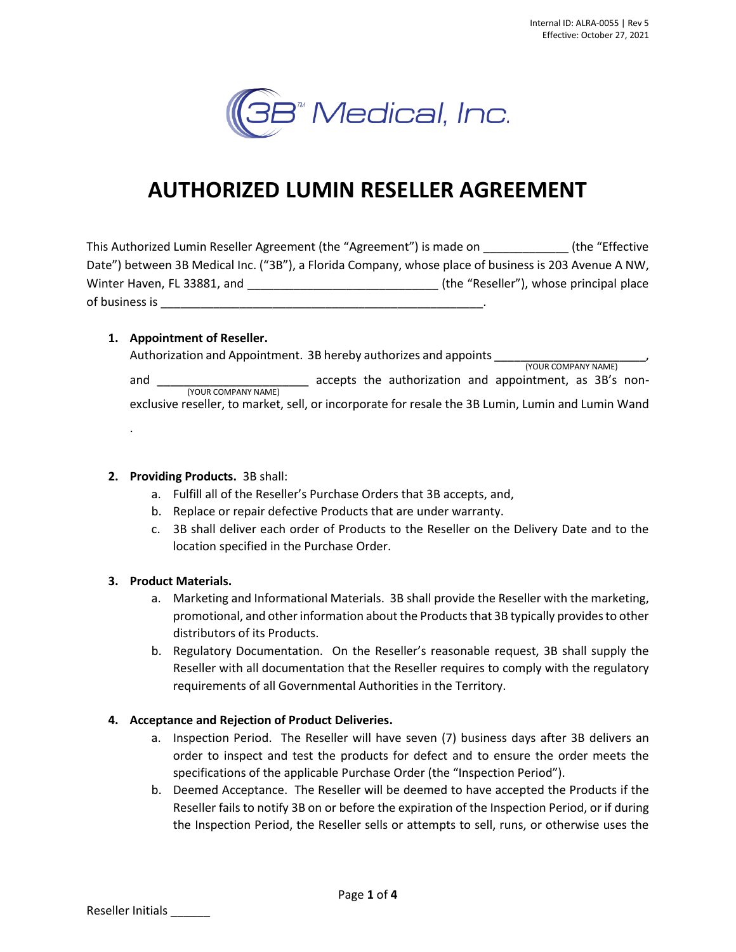

# **AUTHORIZED LUMIN RESELLER AGREEMENT**

This Authorized Lumin Reseller Agreement (the "Agreement") is made on \_\_\_\_\_\_\_\_\_\_\_\_\_ (the "Effective Date") between 3B Medical Inc. ("3B"), a Florida Company, whose place of business is 203 Avenue A NW, Winter Haven, FL 33881, and \_\_\_\_\_\_\_\_\_\_\_\_\_\_\_\_\_\_\_\_\_\_\_\_\_\_\_\_\_ (the "Reseller"), whose principal place of business is \_\_\_\_\_\_\_\_\_\_\_\_\_\_\_\_\_\_\_\_\_\_\_\_\_\_\_\_\_\_\_\_\_\_\_\_\_\_\_\_\_\_\_\_\_\_\_\_\_.

### **1. Appointment of Reseller.**

Authorization and Appointment. 3B hereby authorizes and appoints \_

and \_\_\_\_\_\_\_\_\_\_\_\_\_\_\_\_\_\_\_\_\_\_\_\_\_\_\_\_\_\_\_ accepts the authorization and appointment, as 3B's nonexclusive reseller, to market, sell, or incorporate for resale the 3B Lumin, Lumin and Lumin Wand (YOUR COMPANY NAME) (YOUR COMPANY NAME)

## **2. Providing Products.** 3B shall:

- a. Fulfill all of the Reseller's Purchase Orders that 3B accepts, and,
- b. Replace or repair defective Products that are under warranty.
- c. 3B shall deliver each order of Products to the Reseller on the Delivery Date and to the location specified in the Purchase Order.

# **3. Product Materials.**

.

- a. Marketing and Informational Materials. 3B shall provide the Reseller with the marketing, promotional, and other information about the Products that 3B typically provides to other distributors of its Products.
- b. Regulatory Documentation. On the Reseller's reasonable request, 3B shall supply the Reseller with all documentation that the Reseller requires to comply with the regulatory requirements of all Governmental Authorities in the Territory.

# **4. Acceptance and Rejection of Product Deliveries.**

- a. Inspection Period. The Reseller will have seven (7) business days after 3B delivers an order to inspect and test the products for defect and to ensure the order meets the specifications of the applicable Purchase Order (the "Inspection Period").
- b. Deemed Acceptance. The Reseller will be deemed to have accepted the Products if the Reseller fails to notify 3B on or before the expiration of the Inspection Period, or if during the Inspection Period, the Reseller sells or attempts to sell, runs, or otherwise uses the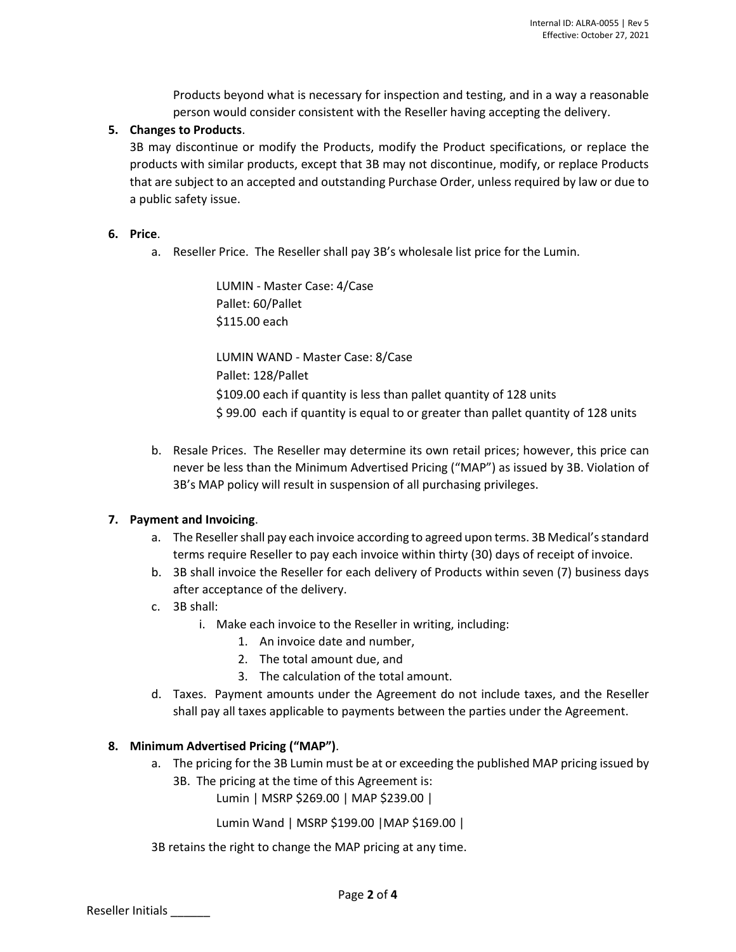Products beyond what is necessary for inspection and testing, and in a way a reasonable person would consider consistent with the Reseller having accepting the delivery.

# **5. Changes to Products**.

3B may discontinue or modify the Products, modify the Product specifications, or replace the products with similar products, except that 3B may not discontinue, modify, or replace Products that are subject to an accepted and outstanding Purchase Order, unless required by law or due to a public safety issue.

# **6. Price**.

a. Reseller Price. The Reseller shall pay 3B's wholesale list price for the Lumin.

LUMIN - Master Case: 4/Case Pallet: 60/Pallet \$115.00 each

LUMIN WAND - Master Case: 8/Case Pallet: 128/Pallet \$109.00 each if quantity is less than pallet quantity of 128 units \$ 99.00 each if quantity is equal to or greater than pallet quantity of 128 units

b. Resale Prices. The Reseller may determine its own retail prices; however, this price can never be less than the Minimum Advertised Pricing ("MAP") as issued by 3B. Violation of 3B's MAP policy will result in suspension of all purchasing privileges.

# **7. Payment and Invoicing**.

- a. The Reseller shall pay each invoice according to agreed upon terms. 3B Medical's standard terms require Reseller to pay each invoice within thirty (30) days of receipt of invoice.
- b. 3B shall invoice the Reseller for each delivery of Products within seven (7) business days after acceptance of the delivery.
- c. 3B shall:
	- i. Make each invoice to the Reseller in writing, including:
		- 1. An invoice date and number,
		- 2. The total amount due, and
		- 3. The calculation of the total amount.
- d. Taxes. Payment amounts under the Agreement do not include taxes, and the Reseller shall pay all taxes applicable to payments between the parties under the Agreement.

#### **8. Minimum Advertised Pricing ("MAP")**.

a. The pricing for the 3B Lumin must be at or exceeding the published MAP pricing issued by 3B. The pricing at the time of this Agreement is:

Lumin | MSRP \$269.00 | MAP \$239.00 |

Lumin Wand | MSRP \$199.00 |MAP \$169.00 |

3B retains the right to change the MAP pricing at any time.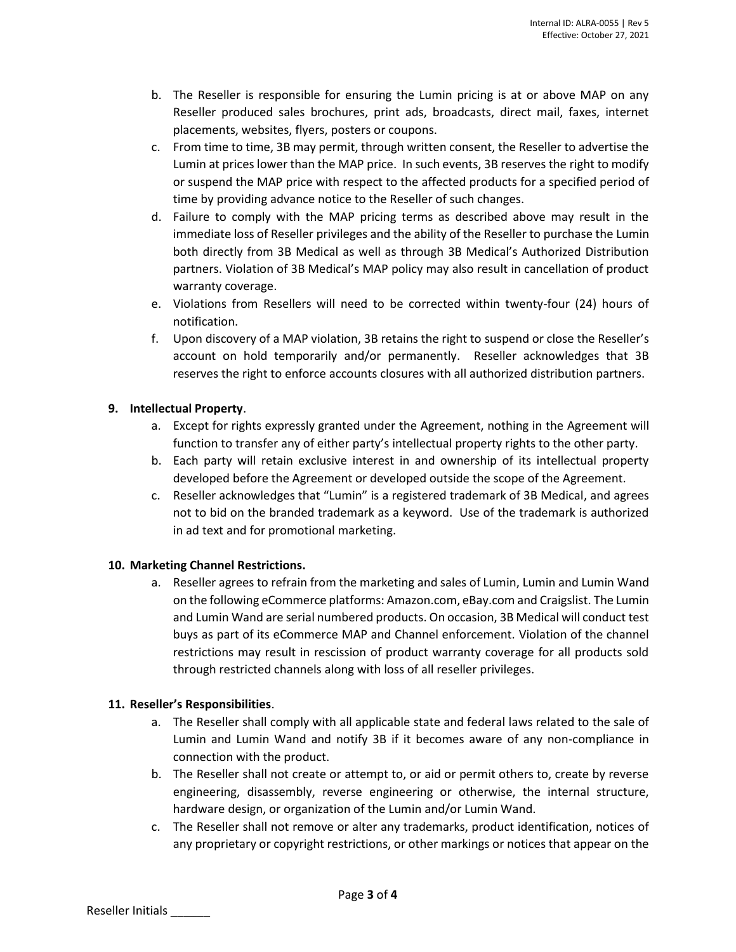- b. The Reseller is responsible for ensuring the Lumin pricing is at or above MAP on any Reseller produced sales brochures, print ads, broadcasts, direct mail, faxes, internet placements, websites, flyers, posters or coupons.
- c. From time to time, 3B may permit, through written consent, the Reseller to advertise the Lumin at prices lower than the MAP price. In such events, 3B reserves the right to modify or suspend the MAP price with respect to the affected products for a specified period of time by providing advance notice to the Reseller of such changes.
- d. Failure to comply with the MAP pricing terms as described above may result in the immediate loss of Reseller privileges and the ability of the Reseller to purchase the Lumin both directly from 3B Medical as well as through 3B Medical's Authorized Distribution partners. Violation of 3B Medical's MAP policy may also result in cancellation of product warranty coverage.
- e. Violations from Resellers will need to be corrected within twenty-four (24) hours of notification.
- f. Upon discovery of a MAP violation, 3B retains the right to suspend or close the Reseller's account on hold temporarily and/or permanently. Reseller acknowledges that 3B reserves the right to enforce accounts closures with all authorized distribution partners.

# **9. Intellectual Property**.

- a. Except for rights expressly granted under the Agreement, nothing in the Agreement will function to transfer any of either party's intellectual property rights to the other party.
- b. Each party will retain exclusive interest in and ownership of its intellectual property developed before the Agreement or developed outside the scope of the Agreement.
- c. Reseller acknowledges that "Lumin" is a registered trademark of 3B Medical, and agrees not to bid on the branded trademark as a keyword. Use of the trademark is authorized in ad text and for promotional marketing.

# **10. Marketing Channel Restrictions.**

a. Reseller agrees to refrain from the marketing and sales of Lumin, Lumin and Lumin Wand on the following eCommerce platforms: Amazon.com, eBay.com and Craigslist. The Lumin and Lumin Wand are serial numbered products. On occasion, 3B Medical will conduct test buys as part of its eCommerce MAP and Channel enforcement. Violation of the channel restrictions may result in rescission of product warranty coverage for all products sold through restricted channels along with loss of all reseller privileges.

# **11. Reseller's Responsibilities**.

- a. The Reseller shall comply with all applicable state and federal laws related to the sale of Lumin and Lumin Wand and notify 3B if it becomes aware of any non-compliance in connection with the product.
- b. The Reseller shall not create or attempt to, or aid or permit others to, create by reverse engineering, disassembly, reverse engineering or otherwise, the internal structure, hardware design, or organization of the Lumin and/or Lumin Wand.
- c. The Reseller shall not remove or alter any trademarks, product identification, notices of any proprietary or copyright restrictions, or other markings or notices that appear on the